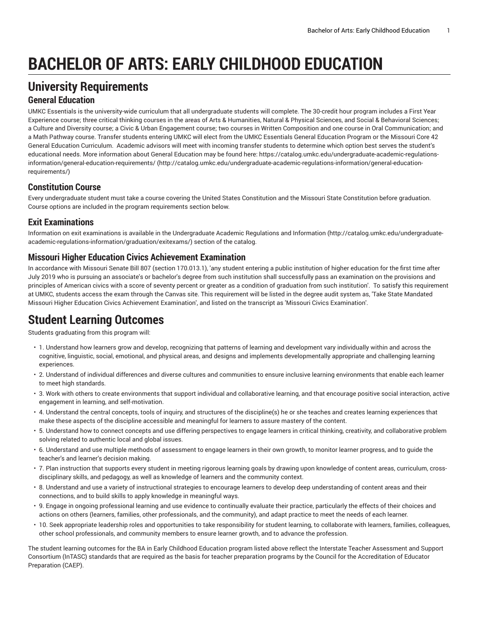# **BACHELOR OF ARTS: EARLY CHILDHOOD EDUCATION**

## **University Requirements**

#### **General Education**

UMKC Essentials is the university-wide curriculum that all undergraduate students will complete. The 30-credit hour program includes a First Year Experience course; three critical thinking courses in the areas of Arts & Humanities, Natural & Physical Sciences, and Social & Behavioral Sciences; a Culture and Diversity course; a Civic & Urban Engagement course; two courses in Written Composition and one course in Oral Communication; and a Math Pathway course. Transfer students entering UMKC will elect from the UMKC Essentials General Education Program or the Missouri Core 42 General Education Curriculum. Academic advisors will meet with incoming transfer students to determine which option best serves the student's educational needs. More information about General Education may be found here: [https://catalog.umkc.edu/undergraduate-academic-regulations](http://catalog.umkc.edu/undergraduate-academic-regulations-information/general-education-requirements/)[information/general-education-requirements/](http://catalog.umkc.edu/undergraduate-academic-regulations-information/general-education-requirements/) ([http://catalog.umkc.edu/undergraduate-academic-regulations-information/general-education](http://catalog.umkc.edu/undergraduate-academic-regulations-information/general-education-requirements/)[requirements/\)](http://catalog.umkc.edu/undergraduate-academic-regulations-information/general-education-requirements/)

### **Constitution Course**

Every undergraduate student must take a course covering the United States Constitution and the Missouri State Constitution before graduation. Course options are included in the program requirements section below.

### **Exit Examinations**

Information on exit examinations is available in the [Undergraduate](http://catalog.umkc.edu/undergraduate-academic-regulations-information/graduation/exitexams/) Academic Regulations and Information [\(http://catalog.umkc.edu/undergraduate](http://catalog.umkc.edu/undergraduate-academic-regulations-information/graduation/exitexams/)[academic-regulations-information/graduation/exitexams/](http://catalog.umkc.edu/undergraduate-academic-regulations-information/graduation/exitexams/)) section of the catalog.

#### **Missouri Higher Education Civics Achievement Examination**

In accordance with Missouri Senate Bill 807 (section 170.013.1), 'any student entering a public institution of higher education for the first time after July 2019 who is pursuing an associate's or bachelor's degree from such institution shall successfully pass an examination on the provisions and principles of American civics with a score of seventy percent or greater as a condition of graduation from such institution'. To satisfy this requirement at UMKC, students access the exam through the Canvas site. This requirement will be listed in the degree audit system as, 'Take State Mandated Missouri Higher Education Civics Achievement Examination', and listed on the transcript as 'Missouri Civics Examination'.

### **Student Learning Outcomes**

Students graduating from this program will:

- 1. Understand how learners grow and develop, recognizing that patterns of learning and development vary individually within and across the cognitive, linguistic, social, emotional, and physical areas, and designs and implements developmentally appropriate and challenging learning experiences.
- 2. Understand of individual differences and diverse cultures and communities to ensure inclusive learning environments that enable each learner to meet high standards.
- 3. Work with others to create environments that support individual and collaborative learning, and that encourage positive social interaction, active engagement in learning, and self-motivation.
- 4. Understand the central concepts, tools of inquiry, and structures of the discipline(s) he or she teaches and creates learning experiences that make these aspects of the discipline accessible and meaningful for learners to assure mastery of the content.
- 5. Understand how to connect concepts and use differing perspectives to engage learners in critical thinking, creativity, and collaborative problem solving related to authentic local and global issues.
- 6. Understand and use multiple methods of assessment to engage learners in their own growth, to monitor learner progress, and to guide the teacher's and learner's decision making.
- 7. Plan instruction that supports every student in meeting rigorous learning goals by drawing upon knowledge of content areas, curriculum, crossdisciplinary skills, and pedagogy, as well as knowledge of learners and the community context.
- 8. Understand and use a variety of instructional strategies to encourage learners to develop deep understanding of content areas and their connections, and to build skills to apply knowledge in meaningful ways.
- 9. Engage in ongoing professional learning and use evidence to continually evaluate their practice, particularly the effects of their choices and actions on others (learners, families, other professionals, and the community), and adapt practice to meet the needs of each learner.
- 10. Seek appropriate leadership roles and opportunities to take responsibility for student learning, to collaborate with learners, families, colleagues, other school professionals, and community members to ensure learner growth, and to advance the profession.

The student learning outcomes for the BA in Early Childhood Education program listed above reflect the Interstate Teacher Assessment and Support Consortium (InTASC) standards that are required as the basis for teacher preparation programs by the Council for the Accreditation of Educator Preparation (CAEP).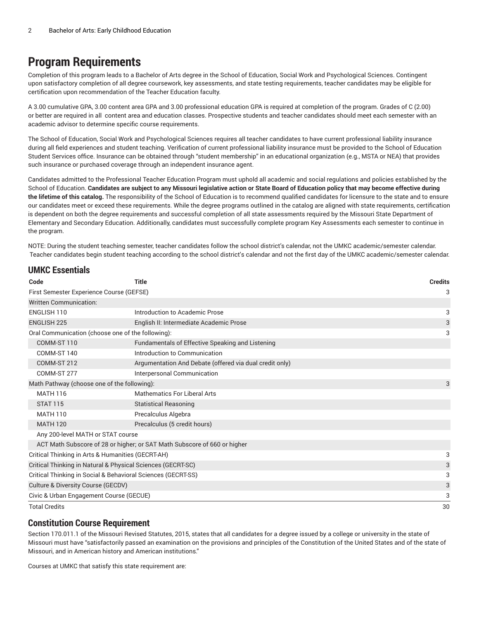### **Program Requirements**

Completion of this program leads to a Bachelor of Arts degree in the School of Education, Social Work and Psychological Sciences. Contingent upon satisfactory completion of all degree coursework, key assessments, and state testing requirements, teacher candidates may be eligible for certification upon recommendation of the Teacher Education faculty.

A 3.00 cumulative GPA, 3.00 content area GPA and 3.00 professional education GPA is required at completion of the program. Grades of C (2.00) or better are required in all content area and education classes. Prospective students and teacher candidates should meet each semester with an academic advisor to determine specific course requirements.

The School of Education, Social Work and Psychological Sciences requires all teacher candidates to have current professional liability insurance during all field experiences and student teaching. Verification of current professional liability insurance must be provided to the School of Education Student Services office. Insurance can be obtained through "student membership" in an educational organization (e.g., MSTA or NEA) that provides such insurance or purchased coverage through an independent insurance agent.

Candidates admitted to the Professional Teacher Education Program must uphold all academic and social regulations and policies established by the School of Education. Candidates are subject to any Missouri legislative action or State Board of Education policy that may become effective during **the lifetime of this catalog.** The responsibility of the School of Education is to recommend qualified candidates for licensure to the state and to ensure our candidates meet or exceed these requirements. While the degree programs outlined in the catalog are aligned with state requirements, certification is dependent on both the degree requirements and successful completion of all state assessments required by the Missouri State Department of Elementary and Secondary Education. Additionally, candidates must successfully complete program Key Assessments each semester to continue in the program.

NOTE: During the student teaching semester, teacher candidates follow the school district's calendar, not the UMKC academic/semester calendar. Teacher candidates begin student teaching according to the school district's calendar and not the first day of the UMKC academic/semester calendar.

| <b>UMKC Essentials</b>                                       |                                                                          |                |  |
|--------------------------------------------------------------|--------------------------------------------------------------------------|----------------|--|
| Code                                                         | Title                                                                    | <b>Credits</b> |  |
| First Semester Experience Course (GEFSE)                     |                                                                          | 3              |  |
| <b>Written Communication:</b>                                |                                                                          |                |  |
| ENGLISH 110                                                  | Introduction to Academic Prose                                           | 3              |  |
| <b>ENGLISH 225</b>                                           | English II: Intermediate Academic Prose                                  |                |  |
| Oral Communication (choose one of the following):            |                                                                          | 3              |  |
| COMM-ST 110                                                  | Fundamentals of Effective Speaking and Listening                         |                |  |
| COMM-ST 140                                                  | Introduction to Communication                                            |                |  |
| COMM-ST 212                                                  | Argumentation And Debate (offered via dual credit only)                  |                |  |
| COMM-ST 277                                                  | Interpersonal Communication                                              |                |  |
| Math Pathway (choose one of the following):                  |                                                                          | 3              |  |
| <b>MATH 116</b>                                              | Mathematics For Liberal Arts                                             |                |  |
| <b>STAT 115</b>                                              | <b>Statistical Reasoning</b>                                             |                |  |
| <b>MATH 110</b>                                              | Precalculus Algebra                                                      |                |  |
| <b>MATH 120</b>                                              | Precalculus (5 credit hours)                                             |                |  |
| Any 200-level MATH or STAT course                            |                                                                          |                |  |
|                                                              | ACT Math Subscore of 28 or higher; or SAT Math Subscore of 660 or higher |                |  |
| Critical Thinking in Arts & Humanities (GECRT-AH)            |                                                                          | 3              |  |
| Critical Thinking in Natural & Physical Sciences (GECRT-SC)  |                                                                          | 3              |  |
| Critical Thinking in Social & Behavioral Sciences (GECRT-SS) |                                                                          | 3              |  |
| Culture & Diversity Course (GECDV)                           |                                                                          | 3              |  |
| Civic & Urban Engagement Course (GECUE)                      |                                                                          | 3              |  |
| <b>Total Credits</b>                                         |                                                                          | 30             |  |

#### **Constitution Course Requirement**

Section 170.011.1 of the Missouri Revised Statutes, 2015, states that all candidates for a degree issued by a college or university in the state of Missouri must have "satisfactorily passed an examination on the provisions and principles of the Constitution of the United States and of the state of Missouri, and in American history and American institutions."

Courses at UMKC that satisfy this state requirement are: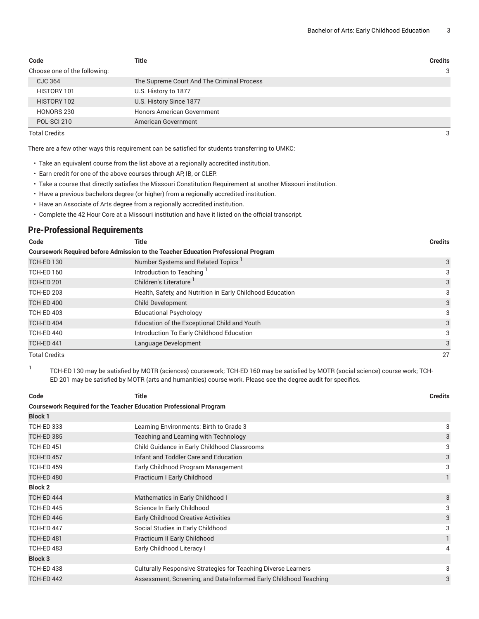| Code                         | <b>Title</b>                               | <b>Credits</b> |
|------------------------------|--------------------------------------------|----------------|
| Choose one of the following: |                                            | 3              |
| <b>CJC 364</b>               | The Supreme Court And The Criminal Process |                |
| HISTORY 101                  | U.S. History to 1877                       |                |
| HISTORY 102                  | U.S. History Since 1877                    |                |
| HONORS 230                   | <b>Honors American Government</b>          |                |
| POL-SCI 210                  | American Government                        |                |

Total Credits 3

There are a few other ways this requirement can be satisfied for students transferring to UMKC:

- Take an equivalent course from the list above at a regionally accredited institution.
- Earn credit for one of the above courses through AP, IB, or CLEP.
- Take a course that directly satisfies the Missouri Constitution Requirement at another Missouri institution.
- Have a previous bachelors degree (or higher) from a regionally accredited institution.
- Have an Associate of Arts degree from a regionally accredited institution.
- Complete the 42 Hour Core at a Missouri institution and have it listed on the official transcript.

#### **Pre-Professional Requirements**

| Code                 | Title                                                                                     | <b>Credits</b> |
|----------------------|-------------------------------------------------------------------------------------------|----------------|
|                      | <b>Coursework Required before Admission to the Teacher Education Professional Program</b> |                |
| <b>TCH-ED 130</b>    | Number Systems and Related Topics <sup>1</sup>                                            | 3              |
| TCH-ED 160           | Introduction to Teaching                                                                  | 3              |
| <b>TCH-ED 201</b>    | Children's Literature                                                                     | 3              |
| TCH-ED 203           | Health, Safety, and Nutrition in Early Childhood Education                                |                |
| TCH-ED 400           | <b>Child Development</b>                                                                  | 3              |
| TCH-ED 403           | <b>Educational Psychology</b>                                                             | 3              |
| TCH-ED 404           | Education of the Exceptional Child and Youth                                              | 3              |
| TCH-ED 440           | Introduction To Early Childhood Education                                                 | 3              |
| TCH-ED 441           | Language Development                                                                      | 3              |
| <b>Total Credits</b> |                                                                                           | 27             |

1 TCH-ED 130 may be satisfied by MOTR (sciences) coursework; TCH-ED 160 may be satisfied by MOTR (social science) course work; TCH-ED 201 may be satisfied by MOTR (arts and humanities) course work. Please see the degree audit for specifics.

| Code                                                                      | <b>Title</b>                                                      |              |  |
|---------------------------------------------------------------------------|-------------------------------------------------------------------|--------------|--|
| <b>Coursework Required for the Teacher Education Professional Program</b> |                                                                   |              |  |
| <b>Block 1</b>                                                            |                                                                   |              |  |
| <b>TCH-ED 333</b>                                                         | Learning Environments: Birth to Grade 3                           | 3            |  |
| <b>TCH-ED 385</b>                                                         | Teaching and Learning with Technology                             | 3            |  |
| <b>TCH-ED 451</b>                                                         | Child Guidance in Early Childhood Classrooms                      | 3            |  |
| TCH-ED 457                                                                | Infant and Toddler Care and Education                             | 3            |  |
| <b>TCH-ED 459</b>                                                         | Early Childhood Program Management                                | 3            |  |
| <b>TCH-ED 480</b>                                                         | Practicum I Early Childhood                                       | $\mathbf{1}$ |  |
| <b>Block 2</b>                                                            |                                                                   |              |  |
| TCH-ED 444                                                                | Mathematics in Early Childhood I                                  | 3            |  |
| <b>TCH-ED 445</b>                                                         | Science In Early Childhood                                        | 3            |  |
| TCH-ED 446                                                                | <b>Early Childhood Creative Activities</b>                        | 3            |  |
| TCH-ED 447                                                                | Social Studies in Early Childhood                                 | 3            |  |
| <b>TCH-ED 481</b>                                                         | Practicum II Early Childhood                                      |              |  |
| <b>TCH-ED 483</b>                                                         | Early Childhood Literacy I                                        | 4            |  |
| <b>Block 3</b>                                                            |                                                                   |              |  |
| <b>TCH-ED 438</b>                                                         | Culturally Responsive Strategies for Teaching Diverse Learners    | 3            |  |
| <b>TCH-ED 442</b>                                                         | Assessment, Screening, and Data-Informed Early Childhood Teaching | 3            |  |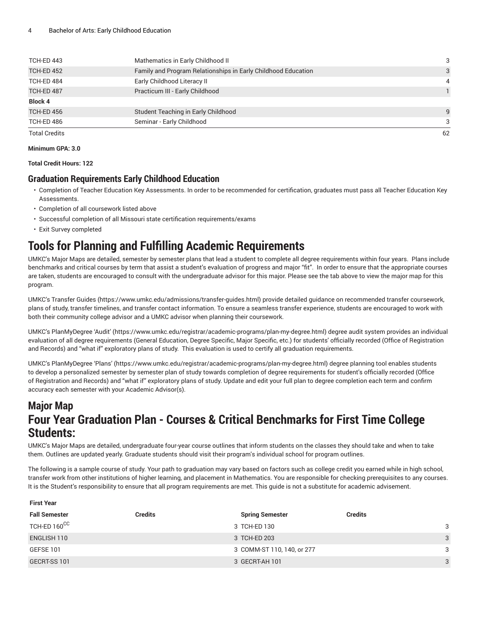| TCH-ED 443           | Mathematics in Early Childhood II                             | 3  |
|----------------------|---------------------------------------------------------------|----|
| TCH-ED 452           | Family and Program Relationships in Early Childhood Education | 3  |
| TCH-ED 484           | Early Childhood Literacy II                                   | 4  |
| TCH-ED 487           | Practicum III - Early Childhood                               |    |
| <b>Block 4</b>       |                                                               |    |
| TCH-ED 456           | Student Teaching in Early Childhood                           | 9  |
| TCH-ED 486           | Seminar - Early Childhood                                     | 3  |
| <b>Total Credits</b> |                                                               | 62 |

#### **Minimum GPA: 3.0**

**Total Credit Hours: 122**

#### **Graduation Requirements Early Childhood Education**

- Completion of Teacher Education Key Assessments. In order to be recommended for certification, graduates must pass all Teacher Education Key Assessments.
- Completion of all coursework listed above
- Successful completion of all Missouri state certification requirements/exams
- Exit Survey completed

**First Year**

# **Tools for Planning and Fulfilling Academic Requirements**

UMKC's Major Maps are detailed, semester by semester plans that lead a student to complete all degree requirements within four years. Plans include benchmarks and critical courses by term that assist a student's evaluation of progress and major "fit". In order to ensure that the appropriate courses are taken, students are encouraged to consult with the undergraduate advisor for this major. Please see the tab above to view the major map for this program.

UMKC's [Transfer](https://www.umkc.edu/admissions/transfer-guides.html) Guides [\(https://www.umkc.edu/admissions/transfer-guides.html](https://www.umkc.edu/admissions/transfer-guides.html)) provide detailed guidance on recommended transfer coursework, plans of study, transfer timelines, and transfer contact information. To ensure a seamless transfer experience, students are encouraged to work with both their community college advisor and a UMKC advisor when planning their coursework.

UMKC's [PlanMyDegree](https://www.umkc.edu/registrar/academic-programs/plan-my-degree.html) 'Audit' ([https://www.umkc.edu/registrar/academic-programs/plan-my-degree.html\)](https://www.umkc.edu/registrar/academic-programs/plan-my-degree.html) degree audit system provides an individual evaluation of all degree requirements (General Education, Degree Specific, Major Specific, etc.) for students' officially recorded (Office of Registration and Records) and "what if" exploratory plans of study. This evaluation is used to certify all graduation requirements.

UMKC's [PlanMyDegree](https://www.umkc.edu/registrar/academic-programs/plan-my-degree.html) 'Plans' [\(https://www.umkc.edu/registrar/academic-programs/plan-my-degree.html\)](https://www.umkc.edu/registrar/academic-programs/plan-my-degree.html) degree planning tool enables students to develop a personalized semester by semester plan of study towards completion of degree requirements for student's officially recorded (Office of Registration and Records) and "what if" exploratory plans of study. Update and edit your full plan to degree completion each term and confirm accuracy each semester with your Academic Advisor(s).

### **Major Map Four Year Graduation Plan - Courses & Critical Benchmarks for First Time College Students:**

UMKC's Major Maps are detailed, undergraduate four-year course outlines that inform students on the classes they should take and when to take them. Outlines are updated yearly. Graduate students should visit their program's individual school for program outlines.

The following is a sample course of study. Your path to graduation may vary based on factors such as college credit you earned while in high school, transfer work from other institutions of higher learning, and placement in Mathematics. You are responsible for checking prerequisites to any courses. It is the Student's responsibility to ensure that all program requirements are met. This guide is not a substitute for academic advisement.

| <b>Fall Semester</b> | <b>Credits</b> | <b>Spring Semester</b>     | <b>Credits</b> |              |
|----------------------|----------------|----------------------------|----------------|--------------|
| TCH-ED 160CC         |                | 3 TCH-ED 130               |                | 3            |
| ENGLISH 110          |                | 3 TCH-ED 203               |                | $\mathbf{3}$ |
| GEFSE 101            |                | 3 COMM-ST 110, 140, or 277 |                | 3            |
| GECRT-SS 101         |                | 3 GECRT-AH 101             |                | 3            |